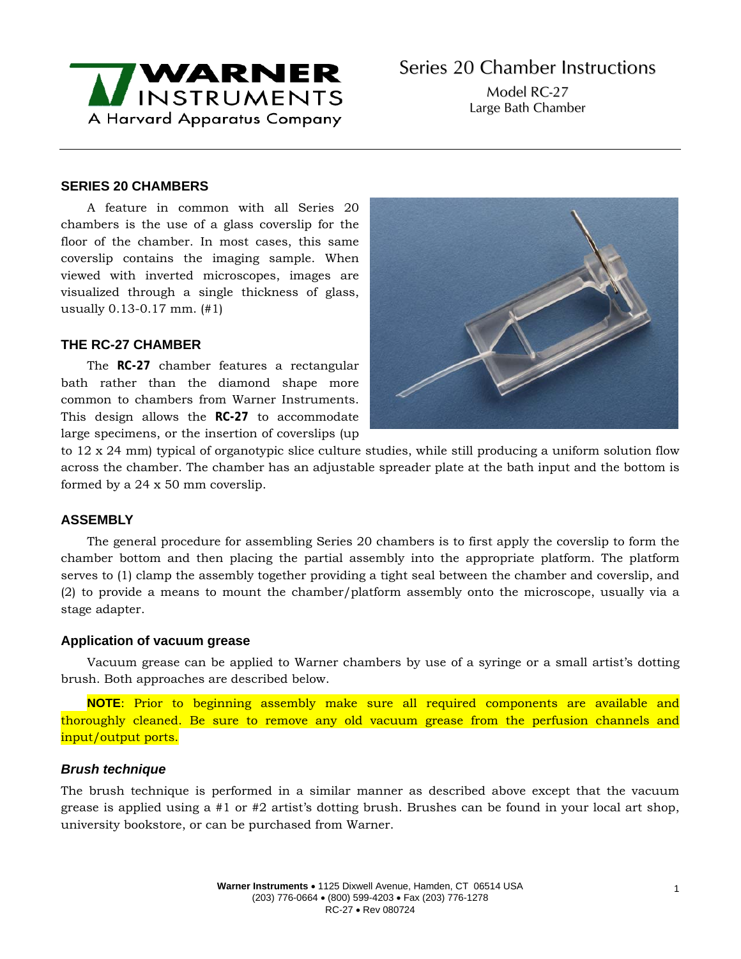

Model RC-27 Large Bath Chamber

## **SERIES 20 CHAMBERS**

A feature in common with all Series 20 chambers is the use of a glass coverslip for the floor of the chamber. In most cases, this same coverslip contains the imaging sample. When viewed with inverted microscopes, images are visualized through a single thickness of glass, usually 0.13-0.17 mm. (#1)

## **THE RC-27 CHAMBER**

The **RC-27** chamber features a rectangular bath rather than the diamond shape more common to chambers from Warner Instruments. This design allows the **RC-27** to accommodate large specimens, or the insertion of coverslips (up



to 12 x 24 mm) typical of organotypic slice culture studies, while still producing a uniform solution flow across the chamber. The chamber has an adjustable spreader plate at the bath input and the bottom is formed by a 24 x 50 mm coverslip.

## **ASSEMBLY**

The general procedure for assembling Series 20 chambers is to first apply the coverslip to form the chamber bottom and then placing the partial assembly into the appropriate platform. The platform serves to (1) clamp the assembly together providing a tight seal between the chamber and coverslip, and (2) to provide a means to mount the chamber/platform assembly onto the microscope, usually via a stage adapter.

## **Application of vacuum grease**

Vacuum grease can be applied to Warner chambers by use of a syringe or a small artist's dotting brush. Both approaches are described below.

**NOTE**: Prior to beginning assembly make sure all required components are available and thoroughly cleaned. Be sure to remove any old vacuum grease from the perfusion channels and input/output ports.

## *Brush technique*

The brush technique is performed in a similar manner as described above except that the vacuum grease is applied using a #1 or #2 artist's dotting brush. Brushes can be found in your local art shop, university bookstore, or can be purchased from Warner.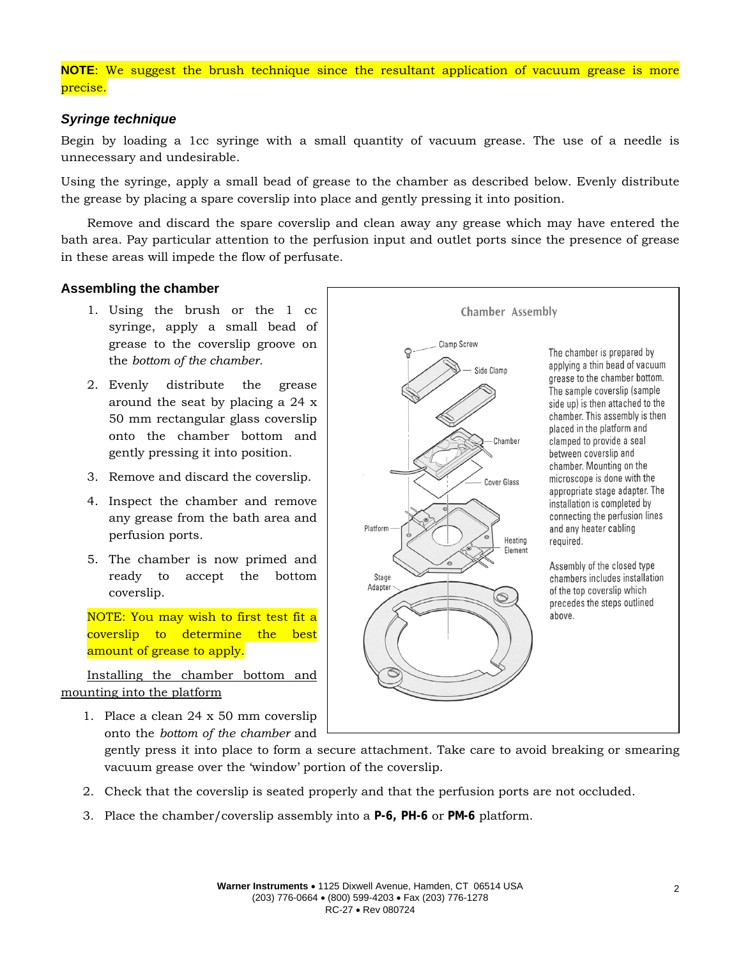# **NOTE**: We suggest the brush technique since the resultant application of vacuum grease is more precise.

## *Syringe technique*

Begin by loading a 1cc syringe with a small quantity of vacuum grease. The use of a needle is unnecessary and undesirable.

Using the syringe, apply a small bead of grease to the chamber as described below. Evenly distribute the grease by placing a spare coverslip into place and gently pressing it into position.

Remove and discard the spare coverslip and clean away any grease which may have entered the bath area. Pay particular attention to the perfusion input and outlet ports since the presence of grease in these areas will impede the flow of perfusate.

### **Assembling the chamber**

- 1. Using the brush or the 1 cc syringe, apply a small bead of grease to the coverslip groove on the *bottom of the chamber.*
- 2. Evenly distribute the grease around the seat by placing a 24 x 50 mm rectangular glass coverslip onto the chamber bottom and gently pressing it into position.
- 3. Remove and discard the coverslip.
- 4. Inspect the chamber and remove any grease from the bath area and perfusion ports.
- 5. The chamber is now primed and ready to accept the bottom coverslip.

NOTE: You may wish to first test fit a coverslip to determine the best amount of grease to apply.

Installing the chamber bottom and mounting into the platform

1. Place a clean 24 x 50 mm coverslip onto the *bottom of the chamber* and

grease to the chamber bottom. The sample coverslip (sample side up) is then attached to the chamber. This assembly is then placed in the platform and clamped to provide a seal Chamber between coverslip and chamber. Mounting on the microscope is done with the Cover Glass appropriate stage adapter. The installation is completed by connecting the perfusion lines Platform and any heater cabling Heating required. Flement Assembly of the closed type Stage chambers includes installation Adapter of the top coverslip which  $\circledcirc$ precedes the steps outlined above.

**Chamber Assembly** 

Side Clamp

The chamber is prepared by applying a thin bead of vacuum

Clamp Screw

gently press it into place to form a secure attachment. Take care to avoid breaking or smearing vacuum grease over the 'window' portion of the coverslip.

- 2. Check that the coverslip is seated properly and that the perfusion ports are not occluded.
- 3. Place the chamber/coverslip assembly into a **P-6, PH-6** or **PM-6** platform.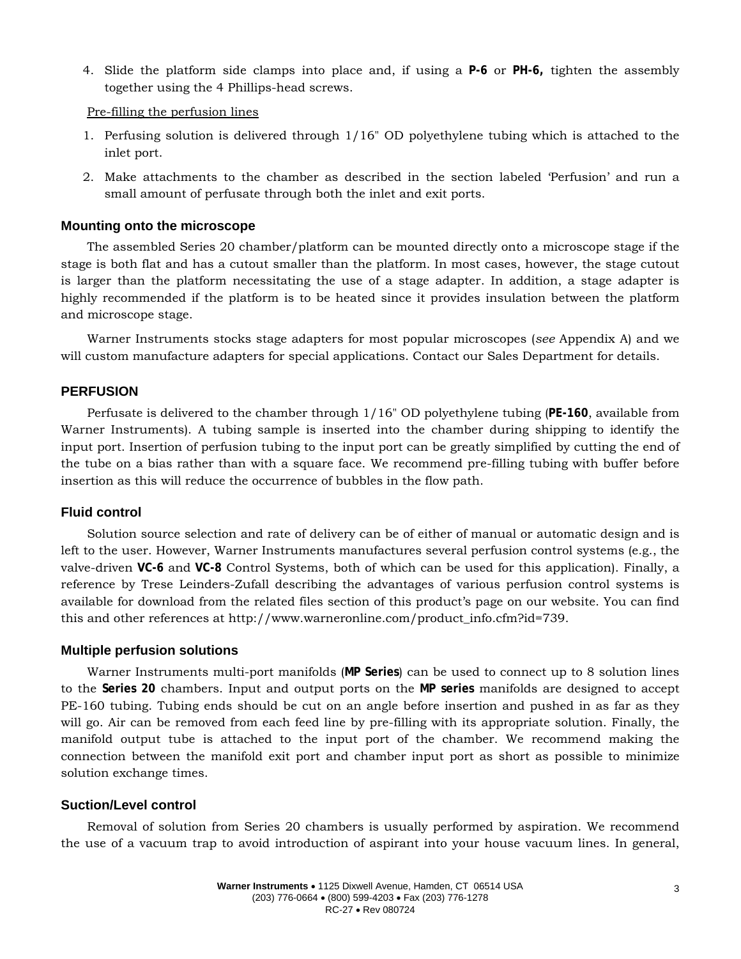4. Slide the platform side clamps into place and, if using a **P-6** or **PH-6,** tighten the assembly together using the 4 Phillips-head screws.

Pre-filling the perfusion lines

- 1. Perfusing solution is delivered through 1/16" OD polyethylene tubing which is attached to the inlet port.
- 2. Make attachments to the chamber as described in the section labeled 'Perfusion' and run a small amount of perfusate through both the inlet and exit ports.

#### **Mounting onto the microscope**

The assembled Series 20 chamber/platform can be mounted directly onto a microscope stage if the stage is both flat and has a cutout smaller than the platform. In most cases, however, the stage cutout is larger than the platform necessitating the use of a stage adapter. In addition, a stage adapter is highly recommended if the platform is to be heated since it provides insulation between the platform and microscope stage.

Warner Instruments stocks stage adapters for most popular microscopes (*see* Appendix A) and we will custom manufacture adapters for special applications. Contact our Sales Department for details.

### **PERFUSION**

Perfusate is delivered to the chamber through 1/16" OD polyethylene tubing (**PE-160**, available from Warner Instruments). A tubing sample is inserted into the chamber during shipping to identify the input port. Insertion of perfusion tubing to the input port can be greatly simplified by cutting the end of the tube on a bias rather than with a square face. We recommend pre-filling tubing with buffer before insertion as this will reduce the occurrence of bubbles in the flow path.

#### **Fluid control**

Solution source selection and rate of delivery can be of either of manual or automatic design and is left to the user. However, Warner Instruments manufactures several perfusion control systems (e.g., the valve-driven **VC-6** and **VC-8** Control Systems, both of which can be used for this application). Finally, a reference by Trese Leinders-Zufall describing the advantages of various perfusion control systems is available for download from the related files section of this product's page on our website. You can find this and other references at http://www.warneronline.com/product\_info.cfm?id=739.

#### **Multiple perfusion solutions**

Warner Instruments multi-port manifolds (**MP Series**) can be used to connect up to 8 solution lines to the **Series 20** chambers. Input and output ports on the **MP series** manifolds are designed to accept PE-160 tubing. Tubing ends should be cut on an angle before insertion and pushed in as far as they will go. Air can be removed from each feed line by pre-filling with its appropriate solution. Finally, the manifold output tube is attached to the input port of the chamber. We recommend making the connection between the manifold exit port and chamber input port as short as possible to minimize solution exchange times.

### **Suction/Level control**

Removal of solution from Series 20 chambers is usually performed by aspiration. We recommend the use of a vacuum trap to avoid introduction of aspirant into your house vacuum lines. In general,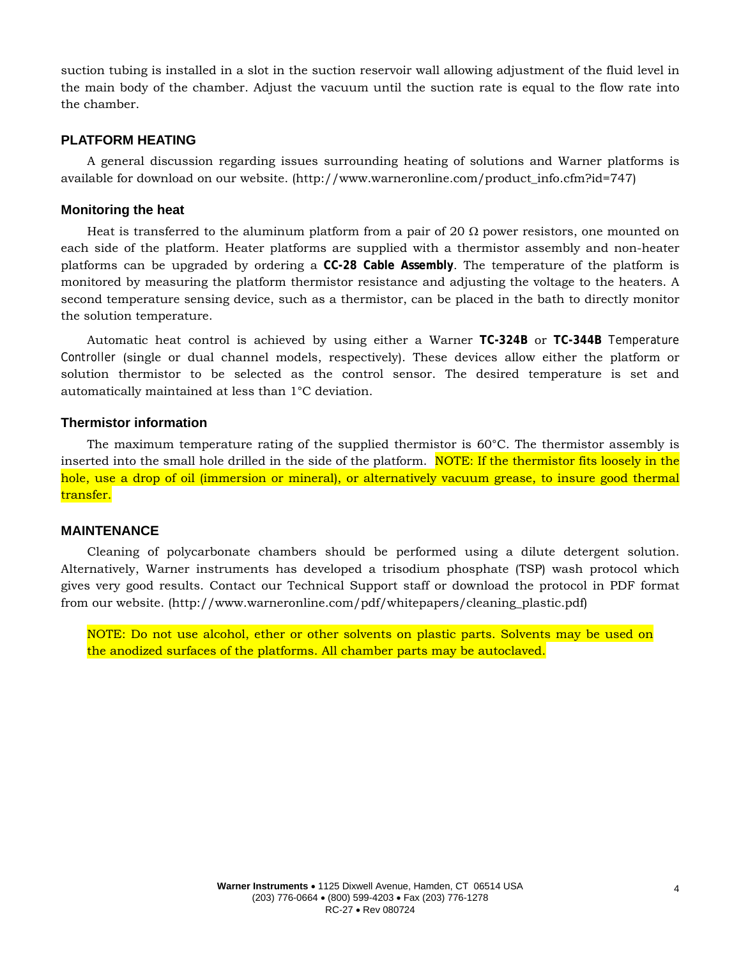suction tubing is installed in a slot in the suction reservoir wall allowing adjustment of the fluid level in the main body of the chamber. Adjust the vacuum until the suction rate is equal to the flow rate into the chamber.

# **PLATFORM HEATING**

A general discussion regarding issues surrounding heating of solutions and Warner platforms is available for download on our website. (http://www.warneronline.com/product\_info.cfm?id=747)

#### **Monitoring the heat**

Heat is transferred to the aluminum platform from a pair of 20  $\Omega$  power resistors, one mounted on each side of the platform. Heater platforms are supplied with a thermistor assembly and non-heater platforms can be upgraded by ordering a **CC-28 Cable Assembly**. The temperature of the platform is monitored by measuring the platform thermistor resistance and adjusting the voltage to the heaters. A second temperature sensing device, such as a thermistor, can be placed in the bath to directly monitor the solution temperature.

Automatic heat control is achieved by using either a Warner **TC-324B** or **TC-344B** Temperature Controller (single or dual channel models, respectively). These devices allow either the platform or solution thermistor to be selected as the control sensor. The desired temperature is set and automatically maintained at less than 1°C deviation.

#### **Thermistor information**

The maximum temperature rating of the supplied thermistor is 60°C. The thermistor assembly is inserted into the small hole drilled in the side of the platform. NOTE: If the thermistor fits loosely in the hole, use a drop of oil (immersion or mineral), or alternatively vacuum grease, to insure good thermal transfer.

#### **MAINTENANCE**

Cleaning of polycarbonate chambers should be performed using a dilute detergent solution. Alternatively, Warner instruments has developed a trisodium phosphate (TSP) wash protocol which gives very good results. Contact our Technical Support staff or download the protocol in PDF format from our website. (http://www.warneronline.com/pdf/whitepapers/cleaning\_plastic.pdf)

NOTE: Do not use alcohol, ether or other solvents on plastic parts. Solvents may be used on the anodized surfaces of the platforms. All chamber parts may be autoclaved.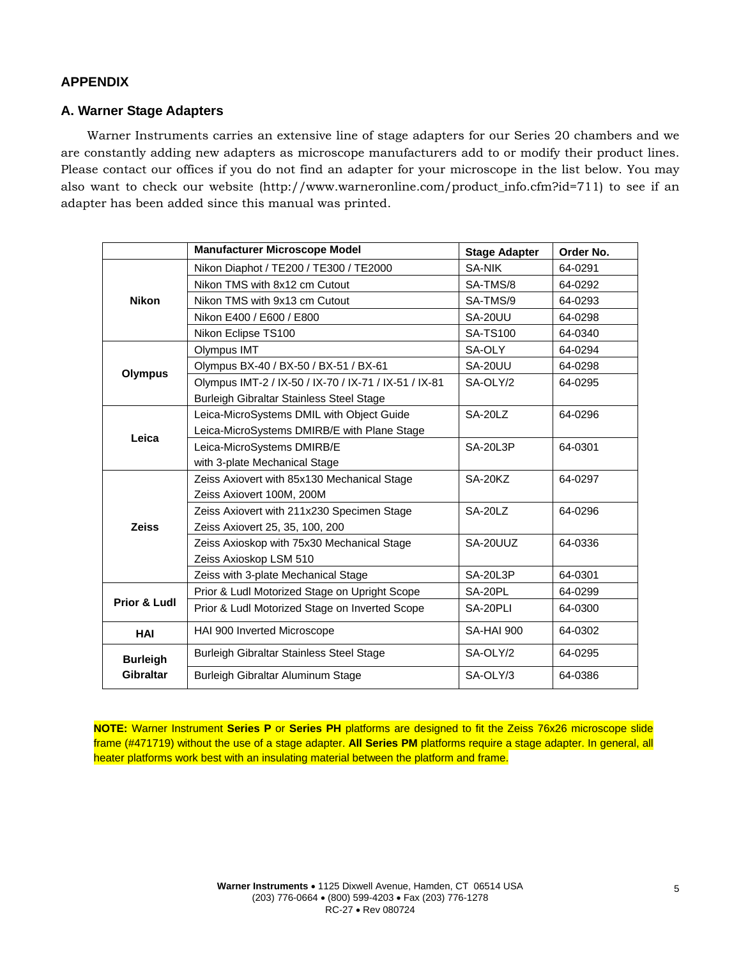# **APPENDIX**

## **A. Warner Stage Adapters**

Warner Instruments carries an extensive line of stage adapters for our Series 20 chambers and we are constantly adding new adapters as microscope manufacturers add to or modify their product lines. Please contact our offices if you do not find an adapter for your microscope in the list below. You may also want to check our website (http://www.warneronline.com/product\_info.cfm?id=711) to see if an adapter has been added since this manual was printed.

|                              | <b>Manufacturer Microscope Model</b>                  | <b>Stage Adapter</b> | Order No. |
|------------------------------|-------------------------------------------------------|----------------------|-----------|
| <b>Nikon</b>                 | Nikon Diaphot / TE200 / TE300 / TE2000                | <b>SA-NIK</b>        | 64-0291   |
|                              | Nikon TMS with 8x12 cm Cutout                         | SA-TMS/8             | 64-0292   |
|                              | Nikon TMS with 9x13 cm Cutout                         | SA-TMS/9             | 64-0293   |
|                              | Nikon E400 / E600 / E800                              | <b>SA-20UU</b>       | 64-0298   |
|                              | Nikon Eclipse TS100                                   | <b>SA-TS100</b>      | 64-0340   |
| <b>Olympus</b>               | Olympus IMT                                           | SA-OLY               | 64-0294   |
|                              | Olympus BX-40 / BX-50 / BX-51 / BX-61                 | SA-20UU              | 64-0298   |
|                              | Olympus IMT-2 / IX-50 / IX-70 / IX-71 / IX-51 / IX-81 | SA-OLY/2             | 64-0295   |
|                              | Burleigh Gibraltar Stainless Steel Stage              |                      |           |
| Leica                        | Leica-MicroSystems DMIL with Object Guide             | SA-20LZ              | 64-0296   |
|                              | Leica-MicroSystems DMIRB/E with Plane Stage           |                      |           |
|                              | Leica-MicroSystems DMIRB/E                            | <b>SA-20L3P</b>      | 64-0301   |
|                              | with 3-plate Mechanical Stage                         |                      |           |
| <b>Zeiss</b>                 | Zeiss Axiovert with 85x130 Mechanical Stage           | SA-20KZ              | 64-0297   |
|                              | Zeiss Axiovert 100M, 200M                             |                      |           |
|                              | Zeiss Axiovert with 211x230 Specimen Stage            | SA-20LZ              | 64-0296   |
|                              | Zeiss Axiovert 25, 35, 100, 200                       |                      |           |
|                              | Zeiss Axioskop with 75x30 Mechanical Stage            | SA-20UUZ             | 64-0336   |
|                              | Zeiss Axioskop LSM 510                                |                      |           |
|                              | Zeiss with 3-plate Mechanical Stage                   | <b>SA-20L3P</b>      | 64-0301   |
| Prior & Ludl                 | Prior & Ludl Motorized Stage on Upright Scope         | SA-20PL              | 64-0299   |
|                              | Prior & Ludl Motorized Stage on Inverted Scope        | SA-20PLI             | 64-0300   |
| <b>HAI</b>                   | HAI 900 Inverted Microscope<br><b>SA-HAI 900</b>      |                      | 64-0302   |
| <b>Burleigh</b><br>Gibraltar | Burleigh Gibraltar Stainless Steel Stage              | SA-OLY/2             | 64-0295   |
|                              | Burleigh Gibraltar Aluminum Stage                     | SA-OLY/3             | 64-0386   |

**NOTE:** Warner Instrument **Series P** or **Series PH** platforms are designed to fit the Zeiss 76x26 microscope slide frame (#471719) without the use of a stage adapter. **All Series PM** platforms require a stage adapter. In general, all heater platforms work best with an insulating material between the platform and frame.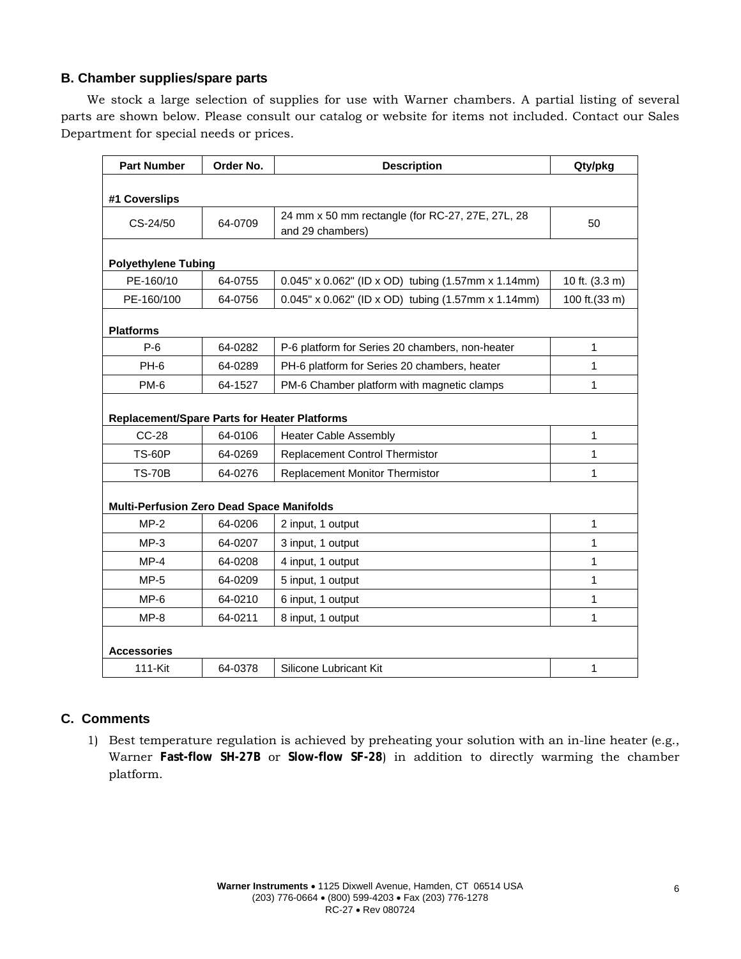# **B. Chamber supplies/spare parts**

We stock a large selection of supplies for use with Warner chambers. A partial listing of several parts are shown below. Please consult our catalog or website for items not included. Contact our Sales Department for special needs or prices.

| <b>Part Number</b>                                  | Order No. | <b>Description</b>                                                   | Qty/pkg        |  |
|-----------------------------------------------------|-----------|----------------------------------------------------------------------|----------------|--|
| #1 Coverslips                                       |           |                                                                      |                |  |
| CS-24/50                                            | 64-0709   | 24 mm x 50 mm rectangle (for RC-27, 27E, 27L, 28<br>and 29 chambers) | 50             |  |
| <b>Polyethylene Tubing</b>                          |           |                                                                      |                |  |
| PE-160/10                                           | 64-0755   | 0.045" x 0.062" (ID x OD) tubing (1.57mm x 1.14mm)                   | 10 ft. (3.3 m) |  |
| PE-160/100                                          | 64-0756   | 0.045" x 0.062" (ID x OD) tubing (1.57mm x 1.14mm)                   | 100 ft.(33 m)  |  |
| <b>Platforms</b>                                    |           |                                                                      |                |  |
| $P-6$                                               | 64-0282   | P-6 platform for Series 20 chambers, non-heater                      | 1              |  |
| PH-6                                                | 64-0289   | PH-6 platform for Series 20 chambers, heater                         | $\mathbf{1}$   |  |
| PM-6                                                | 64-1527   | PM-6 Chamber platform with magnetic clamps                           | $\mathbf{1}$   |  |
| <b>Replacement/Spare Parts for Heater Platforms</b> |           |                                                                      |                |  |
| <b>CC-28</b>                                        | 64-0106   | <b>Heater Cable Assembly</b>                                         | $\mathbf{1}$   |  |
| <b>TS-60P</b>                                       | 64-0269   | <b>Replacement Control Thermistor</b>                                | $\mathbf{1}$   |  |
| <b>TS-70B</b>                                       | 64-0276   | Replacement Monitor Thermistor                                       | 1              |  |
| <b>Multi-Perfusion Zero Dead Space Manifolds</b>    |           |                                                                      |                |  |
| $MP-2$                                              | 64-0206   | 2 input, 1 output                                                    | $\mathbf{1}$   |  |
| $MP-3$                                              | 64-0207   | 3 input, 1 output                                                    | 1              |  |
| $MP-4$                                              | 64-0208   | 4 input, 1 output                                                    | 1              |  |
| $MP-5$                                              | 64-0209   | 5 input, 1 output                                                    | 1              |  |
| $MP-6$                                              | 64-0210   | 6 input, 1 output                                                    | $\mathbf{1}$   |  |
| $MP-8$                                              | 64-0211   | 8 input, 1 output                                                    | $\mathbf{1}$   |  |
| <b>Accessories</b>                                  |           |                                                                      |                |  |
| 111-Kit                                             | 64-0378   | Silicone Lubricant Kit                                               | 1              |  |

# **C. Comments**

1) Best temperature regulation is achieved by preheating your solution with an in-line heater (e.g., Warner **Fast-flow SH-27B** or **Slow-flow SF-28**) in addition to directly warming the chamber platform.